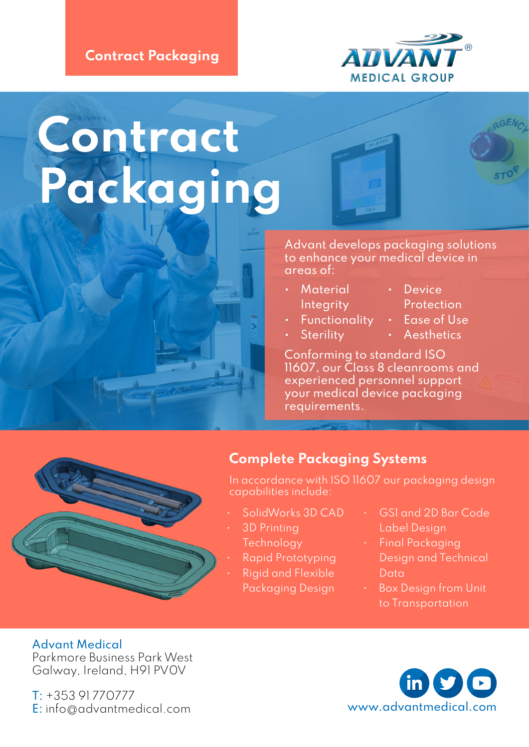#### Contract Packaging



# Contract Packaging

Advant develops packaging solutions to enhance your medical device in areas of:

- Material **Integrity**
- Functionality
- **Sterility**
- Device Protection
- Ease of Use
- Aesthetics

Conforming to standard ISO 11607, our Class 8 cleanrooms and experienced personnel support your medical device packaging requirements.

### Complete Packaging Systems

In accordance with ISO 11607 our packaging design capabilities include:

- SolidWorks 3D CAD
- 3D Printing **Technology**
- Rapid Prototyping
- Rigid and Flexible Packaging Design
- GS1 and 2D Bar Code Label Design
	- Final Packaging Design and Technical Data
	- Box Design from Unit to Transportation

#### Advant Medical

Parkmore Business Park West Galway, Ireland, H91 PV0V

T: +353 91 770777 [E: info@advantmedical.com](mailto:%20info%40advantmedical.com?subject=) [www.advantmedical.com](http://www.advantmedical.com)